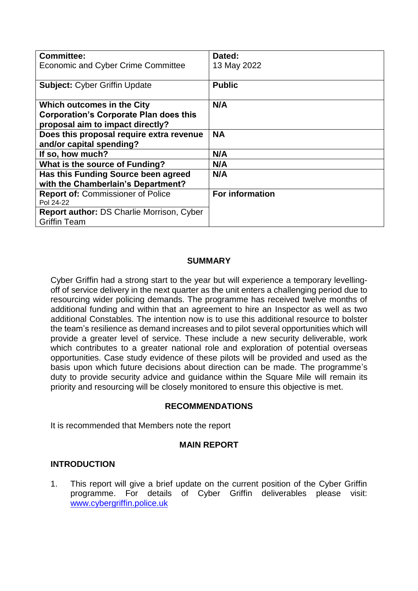| <b>Committee:</b>                                | Dated:          |
|--------------------------------------------------|-----------------|
| <b>Economic and Cyber Crime Committee</b>        | 13 May 2022     |
|                                                  |                 |
| <b>Subject: Cyber Griffin Update</b>             | <b>Public</b>   |
|                                                  |                 |
| <b>Which outcomes in the City</b>                | N/A             |
| <b>Corporation's Corporate Plan does this</b>    |                 |
| proposal aim to impact directly?                 |                 |
| Does this proposal require extra revenue         | <b>NA</b>       |
| and/or capital spending?                         |                 |
| If so, how much?                                 | N/A             |
| What is the source of Funding?                   | N/A             |
| Has this Funding Source been agreed              | N/A             |
| with the Chamberlain's Department?               |                 |
| <b>Report of: Commissioner of Police</b>         | For information |
| Pol 24-22                                        |                 |
| <b>Report author: DS Charlie Morrison, Cyber</b> |                 |
| <b>Griffin Team</b>                              |                 |

## **SUMMARY**

Cyber Griffin had a strong start to the year but will experience a temporary levellingoff of service delivery in the next quarter as the unit enters a challenging period due to resourcing wider policing demands. The programme has received twelve months of additional funding and within that an agreement to hire an Inspector as well as two additional Constables. The intention now is to use this additional resource to bolster the team's resilience as demand increases and to pilot several opportunities which will provide a greater level of service. These include a new security deliverable, work which contributes to a greater national role and exploration of potential overseas opportunities. Case study evidence of these pilots will be provided and used as the basis upon which future decisions about direction can be made. The programme's duty to provide security advice and guidance within the Square Mile will remain its priority and resourcing will be closely monitored to ensure this objective is met.

#### **RECOMMENDATIONS**

It is recommended that Members note the report

#### **MAIN REPORT**

#### **INTRODUCTION**

1. This report will give a brief update on the current position of the Cyber Griffin programme. For details of Cyber Griffin deliverables please visit: [www.cybergriffin.police.uk](http://www.cybergriffin.police.uk/)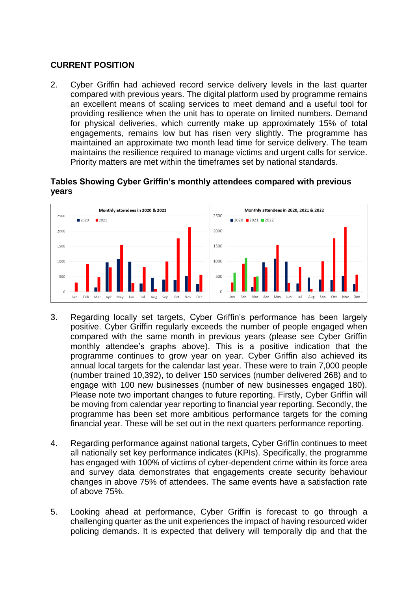# **CURRENT POSITION**

2. Cyber Griffin had achieved record service delivery levels in the last quarter compared with previous years. The digital platform used by programme remains an excellent means of scaling services to meet demand and a useful tool for providing resilience when the unit has to operate on limited numbers. Demand for physical deliveries, which currently make up approximately 15% of total engagements, remains low but has risen very slightly. The programme has maintained an approximate two month lead time for service delivery. The team maintains the resilience required to manage victims and urgent calls for service. Priority matters are met within the timeframes set by national standards.

## **Tables Showing Cyber Griffin's monthly attendees compared with previous years**



- 3. Regarding locally set targets, Cyber Griffin's performance has been largely positive. Cyber Griffin regularly exceeds the number of people engaged when compared with the same month in previous years (please see Cyber Griffin monthly attendee's graphs above). This is a positive indication that the programme continues to grow year on year. Cyber Griffin also achieved its annual local targets for the calendar last year. These were to train 7,000 people (number trained 10,392), to deliver 150 services (number delivered 268) and to engage with 100 new businesses (number of new businesses engaged 180). Please note two important changes to future reporting. Firstly, Cyber Griffin will be moving from calendar year reporting to financial year reporting. Secondly, the programme has been set more ambitious performance targets for the coming financial year. These will be set out in the next quarters performance reporting.
- 4. Regarding performance against national targets, Cyber Griffin continues to meet all nationally set key performance indicates (KPIs). Specifically, the programme has engaged with 100% of victims of cyber-dependent crime within its force area and survey data demonstrates that engagements create security behaviour changes in above 75% of attendees. The same events have a satisfaction rate of above 75%.
- 5. Looking ahead at performance, Cyber Griffin is forecast to go through a challenging quarter as the unit experiences the impact of having resourced wider policing demands. It is expected that delivery will temporally dip and that the